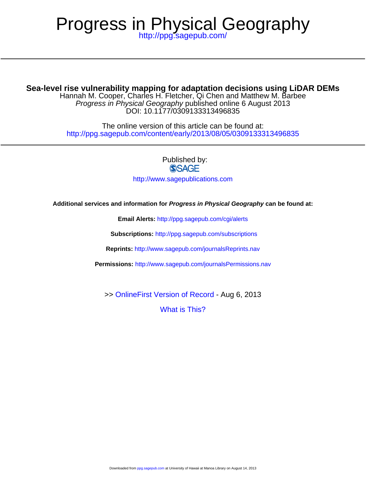# <http://ppg.sagepub.com/> Progress in Physical Geography

## **Sea-level rise vulnerability mapping for adaptation decisions using LiDAR DEMs**

DOI: 10.1177/0309133313496835 Progress in Physical Geography published online 6 August 2013 Hannah M. Cooper, Charles H. Fletcher, Qi Chen and Matthew M. Barbee

<http://ppg.sagepub.com/content/early/2013/08/05/0309133313496835> The online version of this article can be found at:

> Published by:<br>
> SAGE <http://www.sagepublications.com>

**Additional services and information for Progress in Physical Geography can be found at:**

**Email Alerts:** <http://ppg.sagepub.com/cgi/alerts>

**Subscriptions:** <http://ppg.sagepub.com/subscriptions>

**Reprints:** <http://www.sagepub.com/journalsReprints.nav>

**Permissions:** <http://www.sagepub.com/journalsPermissions.nav>

>> [OnlineFirst Version of Record -](http://ppg.sagepub.com/content/early/2013/08/05/0309133313496835.full.pdf) Aug 6, 2013

[What is This?](http://online.sagepub.com/site/sphelp/vorhelp.xhtml)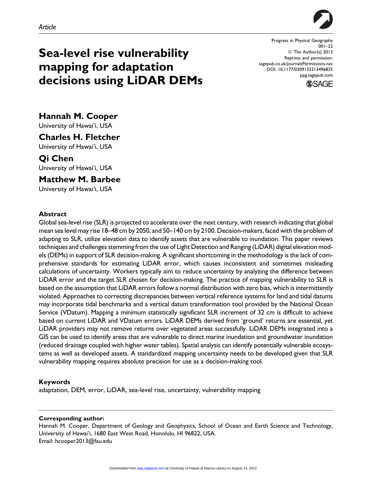

Progress in Physical Geography 001–22 © The Author(s) 2013 Reprints and permission: [sagepub.co.uk/journalsPermissions.nav](http://www.sagepub.co.uk/journalsPermissions.nav) DOI: 10.1177/0309133313496835 [ppg.sagepub.com](http://ppg.sagepub.com)



# Sea-level rise vulnerability mapping for adaptation decisions using LiDAR DEMs

Hannah M. Cooper

University of Hawai'i, USA

Charles H. Fletcher

University of Hawai'i, USA

Qi Chen University of Hawai'i, USA

Matthew M. Barbee

University of Hawai'i, USA

#### Abstract

Global sea-level rise (SLR) is projected to accelerate over the next century, with research indicating that global mean sea level may rise 18–48 cm by 2050, and 50–140 cm by 2100. Decision-makers, faced with the problem of adapting to SLR, utilize elevation data to identify assets that are vulnerable to inundation. This paper reviews techniques and challenges stemming from the use of Light Detection and Ranging (LiDAR) digital elevation models (DEMs) in support of SLR decision-making. A significant shortcoming in the methodology is the lack of comprehensive standards for estimating LiDAR error, which causes inconsistent and sometimes misleading calculations of uncertainty. Workers typically aim to reduce uncertainty by analyzing the difference between LiDAR error and the target SLR chosen for decision-making. The practice of mapping vulnerability to SLR is based on the assumption that LiDAR errors follow a normal distribution with zero bias, which is intermittently violated. Approaches to correcting discrepancies between vertical reference systems for land and tidal datums may incorporate tidal benchmarks and a vertical datum transformation tool provided by the National Ocean Service (VDatum). Mapping a minimum statistically significant SLR increment of 32 cm is difficult to achieve based on current LiDAR and VDatum errors. LiDAR DEMs derived from 'ground' returns are essential, yet LiDAR providers may not remove returns over vegetated areas successfully. LiDAR DEMs integrated into a GIS can be used to identify areas that are vulnerable to direct marine inundation and groundwater inundation (reduced drainage coupled with higher water tables). Spatial analysis can identify potentially vulnerable ecosystems as well as developed assets. A standardized mapping uncertainty needs to be developed given that SLR vulnerability mapping requires absolute precision for use as a decision-making tool.

#### Keywords

adaptation, DEM, error, LiDAR, sea-level rise, uncertainty, vulnerability mapping

#### Corresponding author:

Hannah M. Cooper, Department of Geology and Geophysics, School of Ocean and Earth Science and Technology, University of Hawai'i, 1680 East West Road, Honolulu, HI 96822, USA. Email: hcooper2013@fau.edu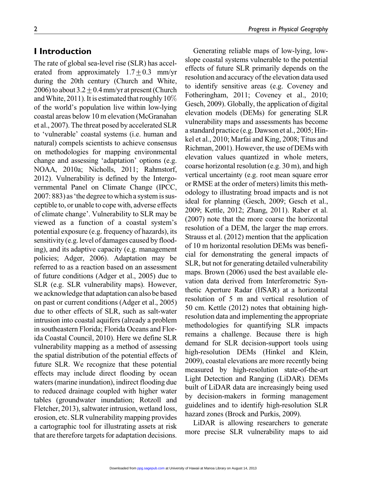## I Introduction

The rate of global sea-level rise (SLR) has accelerated from approximately  $1.7 \pm 0.3$  mm/yr during the 20th century (Church and White,  $2006$ ) to about  $3.2 + 0.4$  mm/yr at present (Church and White, 2011). It is estimated that roughly  $10\%$ of the world's population live within low-lying coastal areas below 10 m elevation (McGranahan et al., 2007). The threat posed by accelerated SLR to 'vulnerable' coastal systems (i.e. human and natural) compels scientists to achieve consensus on methodologies for mapping environmental change and assessing 'adaptation' options (e.g. NOAA, 2010a; Nicholls, 2011; Rahmstorf, 2012). Vulnerability is defined by the Intergovernmental Panel on Climate Change (IPCC, 2007: 883) as 'the degree to which a system is susceptible to, or unable to cope with, adverse effects of climate change'. Vulnerability to SLR may be viewed as a function of a coastal system's potential exposure (e.g. frequency of hazards), its sensitivity (e.g. level of damages caused by flooding), and its adaptive capacity (e.g. management policies; Adger, 2006). Adaptation may be referred to as a reaction based on an assessment of future conditions (Adger et al., 2005) due to SLR (e.g. SLR vulnerability maps). However, we acknowledge that adaptation can also be based on past or current conditions (Adger et al., 2005) due to other effects of SLR, such as salt-water intrusion into coastal aquifers (already a problem in southeastern Florida; Florida Oceans and Florida Coastal Council, 2010). Here we define SLR vulnerability mapping as a method of assessing the spatial distribution of the potential effects of future SLR. We recognize that these potential effects may include direct flooding by ocean waters (marine inundation), indirect flooding due to reduced drainage coupled with higher water tables (groundwater inundation; Rotzoll and Fletcher, 2013), saltwater intrusion, wetland loss, erosion, etc. SLR vulnerability mapping provides a cartographic tool for illustrating assets at risk that are therefore targets for adaptation decisions.

Generating reliable maps of low-lying, lowslope coastal systems vulnerable to the potential effects of future SLR primarily depends on the resolution and accuracy of the elevation data used to identify sensitive areas (e.g. Coveney and Fotheringham, 2011; Coveney et al., 2010; Gesch, 2009). Globally, the application of digital elevation models (DEMs) for generating SLR vulnerability maps and assessments has become a standard practice (e.g. Dawson et al., 2005; Hinkel et al., 2010; Marfai and King, 2008; Titus and Richman, 2001). However, the use of DEMs with elevation values quantized in whole meters, coarse horizontal resolution (e.g. 30 m), and high vertical uncertainty (e.g. root mean square error or RMSE at the order of meters) limits this methodology to illustrating broad impacts and is not ideal for planning (Gesch, 2009; Gesch et al., 2009; Kettle, 2012; Zhang, 2011). Raber et al. (2007) note that the more coarse the horizontal resolution of a DEM, the larger the map errors. Strauss et al. (2012) mention that the application of 10 m horizontal resolution DEMs was beneficial for demonstrating the general impacts of SLR, but not for generating detailed vulnerability maps. Brown (2006) used the best available elevation data derived from Interferometric Synthetic Aperture Radar (IfSAR) at a horizontal resolution of 5 m and vertical resolution of 50 cm. Kettle (2012) notes that obtaining highresolution data and implementing the appropriate methodologies for quantifying SLR impacts remains a challenge. Because there is high demand for SLR decision-support tools using high-resolution DEMs (Hinkel and Klein, 2009), coastal elevations are more recently being measured by high-resolution state-of-the-art Light Detection and Ranging (LiDAR). DEMs built of LiDAR data are increasingly being used by decision-makers in forming management guidelines and to identify high-resolution SLR hazard zones (Brock and Purkis, 2009).

LiDAR is allowing researchers to generate more precise SLR vulnerability maps to aid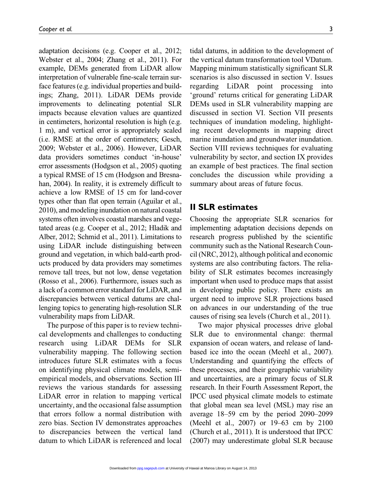adaptation decisions (e.g. Cooper et al., 2012; Webster et al., 2004; Zhang et al., 2011). For example, DEMs generated from LiDAR allow interpretation of vulnerable fine-scale terrain surface features (e.g. individual properties and buildings; Zhang, 2011). LiDAR DEMs provide improvements to delineating potential SLR impacts because elevation values are quantized in centimeters, horizontal resolution is high (e.g. 1 m), and vertical error is appropriately scaled (i.e. RMSE at the order of centimeters; Gesch, 2009; Webster et al., 2006). However, LiDAR data providers sometimes conduct 'in-house' error assessments (Hodgson et al., 2005) quoting a typical RMSE of 15 cm (Hodgson and Bresnahan, 2004). In reality, it is extremely difficult to achieve a low RMSE of 15 cm for land-cover types other than flat open terrain (Aguilar et al., 2010), and modeling inundation on natural coastal systems often involves coastal marshes and vegetated areas (e.g. Cooper et al., 2012; Hladik and Alber, 2012; Schmid et al., 2011). Limitations to using LiDAR include distinguishing between ground and vegetation, in which bald-earth products produced by data providers may sometimes remove tall trees, but not low, dense vegetation (Rosso et al., 2006). Furthermore, issues such as a lack of a common error standard for LiDAR, and discrepancies between vertical datums are challenging topics to generating high-resolution SLR vulnerability maps from LiDAR.

The purpose of this paper is to review technical developments and challenges to conducting research using LiDAR DEMs for SLR vulnerability mapping. The following section introduces future SLR estimates with a focus on identifying physical climate models, semiempirical models, and observations. Section III reviews the various standards for assessing LiDAR error in relation to mapping vertical uncertainty, and the occasional false assumption that errors follow a normal distribution with zero bias. Section IV demonstrates approaches to discrepancies between the vertical land datum to which LiDAR is referenced and local tidal datums, in addition to the development of the vertical datum transformation tool VDatum. Mapping minimum statistically significant SLR scenarios is also discussed in section V. Issues regarding LiDAR point processing into 'ground' returns critical for generating LiDAR DEMs used in SLR vulnerability mapping are discussed in section VI. Section VII presents techniques of inundation modeling, highlighting recent developments in mapping direct marine inundation and groundwater inundation. Section VIII reviews techniques for evaluating vulnerability by sector, and section IX provides an example of best practices. The final section concludes the discussion while providing a summary about areas of future focus.

### II SLR estimates

Choosing the appropriate SLR scenarios for implementing adaptation decisions depends on research progress published by the scientific community such as the National Research Council (NRC, 2012), although political and economic systems are also contributing factors. The reliability of SLR estimates becomes increasingly important when used to produce maps that assist in developing public policy. There exists an urgent need to improve SLR projections based on advances in our understanding of the true causes of rising sea levels (Church et al., 2011).

Two major physical processes drive global SLR due to environmental change: thermal expansion of ocean waters, and release of landbased ice into the ocean (Meehl et al., 2007). Understanding and quantifying the effects of these processes, and their geographic variability and uncertainties, are a primary focus of SLR research. In their Fourth Assessment Report, the IPCC used physical climate models to estimate that global mean sea level (MSL) may rise an average 18–59 cm by the period 2090–2099 (Meehl et al., 2007) or 19–63 cm by 2100 (Church et al., 2011). It is understood that IPCC (2007) may underestimate global SLR because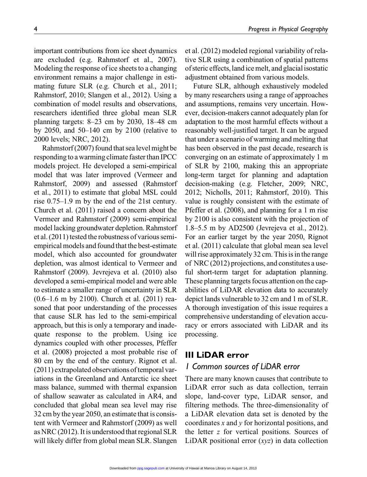important contributions from ice sheet dynamics are excluded (e.g. Rahmstorf et al., 2007). Modeling the response of ice sheets to a changing environment remains a major challenge in estimating future SLR (e.g. Church et al., 2011; Rahmstorf, 2010; Slangen et al., 2012). Using a combination of model results and observations, researchers identified three global mean SLR planning targets: 8–23 cm by 2030, 18–48 cm by 2050, and 50–140 cm by 2100 (relative to 2000 levels; NRC, 2012).

Rahmstorf (2007) found that sea level might be respondingto a warming climate faster than IPCC models project. He developed a semi-empirical model that was later improved (Vermeer and Rahmstorf, 2009) and assessed (Rahmstorf et al., 2011) to estimate that global MSL could rise 0.75–1.9 m by the end of the 21st century. Church et al. (2011) raised a concern about the Vermeer and Rahmstorf (2009) semi-empirical model lacking groundwater depletion. Rahmstorf et al. (2011) tested the robustness of various semiempirical models and found that the best-estimate model, which also accounted for groundwater depletion, was almost identical to Vermeer and Rahmstorf (2009). Jevrejeva et al. (2010) also developed a semi-empirical model and were able to estimate a smaller range of uncertainty in SLR (0.6–1.6 m by 2100). Church et al. (2011) reasoned that poor understanding of the processes that cause SLR has led to the semi-empirical approach, but this is only a temporary and inadequate response to the problem. Using ice dynamics coupled with other processes, Pfeffer et al. (2008) projected a most probable rise of 80 cm by the end of the century. Rignot et al. (2011) extrapolated observations of temporal variations in the Greenland and Antarctic ice sheet mass balance, summed with thermal expansion of shallow seawater as calculated in AR4, and concluded that global mean sea level may rise 32 cm by the year 2050, an estimate that is consistent with Vermeer and Rahmstorf (2009) as well as NRC (2012). It is understood that regional SLR will likely differ from global mean SLR. Slangen

et al. (2012) modeled regional variability of relative SLR using a combination of spatial patterns of steric effects,land ice melt, and glacialisostatic adjustment obtained from various models.

Future SLR, although exhaustively modeled by many researchers using a range of approaches and assumptions, remains very uncertain. However, decision-makers cannot adequately plan for adaptation to the most harmful effects without a reasonably well-justified target. It can be argued that under a scenario of warming and melting that has been observed in the past decade, research is converging on an estimate of approximately 1 m of SLR by 2100, making this an appropriate long-term target for planning and adaptation decision-making (e.g. Fletcher, 2009; NRC, 2012; Nicholls, 2011; Rahmstorf, 2010). This value is roughly consistent with the estimate of Pfeffer et al. (2008), and planning for a 1 m rise by 2100 is also consistent with the projection of 1.8–5.5 m by AD2500 (Jevrejeva et al., 2012). For an earlier target by the year 2050, Rignot et al. (2011) calculate that global mean sea level will rise approximately 32 cm. This is in the range of NRC (2012) projections, and constitutes a useful short-term target for adaptation planning. These planning targets focus attention on the capabilities of LiDAR elevation data to accurately depict lands vulnerable to 32 cm and 1 m of SLR. A thorough investigation of this issue requires a comprehensive understanding of elevation accuracy or errors associated with LiDAR and its processing.

# III LiDAR error 1 Common sources of LiDAR error

There are many known causes that contribute to LiDAR error such as data collection, terrain slope, land-cover type, LiDAR sensor, and filtering methods. The three-dimensionality of a LiDAR elevation data set is denoted by the coordinates  $x$  and  $y$  for horizontal positions, and the letter z for vertical positions. Sources of LiDAR positional error  $(xyz)$  in data collection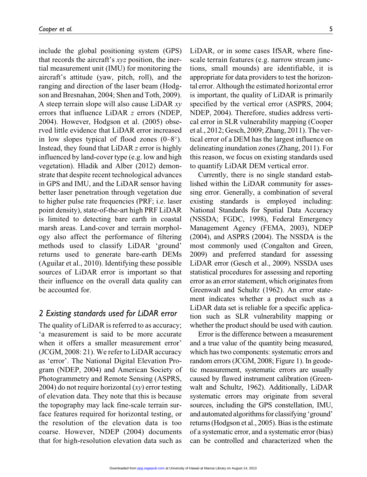include the global positioning system (GPS) that records the aircraft's xyz position, the inertial measurement unit (IMU) for monitoring the aircraft's attitude (yaw, pitch, roll), and the ranging and direction of the laser beam (Hodgson and Bresnahan, 2004; Shen and Toth, 2009). A steep terrain slope will also cause LiDAR  $xy$ errors that influence LiDAR z errors (NDEP, 2004). However, Hodgson et al. (2005) observed little evidence that LiDAR error increased in low slopes typical of flood zones  $(0-8^{\circ})$ . Instead, they found that LiDAR z error is highly influenced by land-cover type (e.g. low and high vegetation). Hladik and Alber (2012) demonstrate that despite recent technological advances in GPS and IMU, and the LiDAR sensor having better laser penetration through vegetation due to higher pulse rate frequencies (PRF; i.e. laser point density), state-of-the-art high PRF LiDAR is limited to detecting bare earth in coastal marsh areas. Land-cover and terrain morphology also affect the performance of filtering methods used to classify LiDAR 'ground' returns used to generate bare-earth DEMs (Aguilar et al., 2010). Identifying these possible sources of LiDAR error is important so that their influence on the overall data quality can be accounted for.

## 2 Existing standards used for LiDAR error

The quality of LiDAR is referred to as accuracy; 'a measurement is said to be more accurate when it offers a smaller measurement error' (JCGM, 2008: 21). We refer to LiDAR accuracy as 'error'. The National Digital Elevation Program (NDEP, 2004) and American Society of Photogrammetry and Remote Sensing (ASPRS, 2004) do not require horizontal  $(xy)$  error testing of elevation data. They note that this is because the topography may lack fine-scale terrain surface features required for horizontal testing, or the resolution of the elevation data is too coarse. However, NDEP (2004) documents that for high-resolution elevation data such as LiDAR, or in some cases IfSAR, where finescale terrain features (e.g. narrow stream junctions, small mounds) are identifiable, it is appropriate for data providers to test the horizontal error. Although the estimated horizontal error is important, the quality of LiDAR is primarily specified by the vertical error (ASPRS, 2004; NDEP, 2004). Therefore, studies address vertical error in SLR vulnerability mapping (Cooper et al., 2012; Gesch, 2009; Zhang, 2011). The vertical error of a DEM has the largest influence on delineating inundation zones (Zhang, 2011). For this reason, we focus on existing standards used to quantify LiDAR DEM vertical error.

Currently, there is no single standard established within the LiDAR community for assessing error. Generally, a combination of several existing standards is employed including: National Standards for Spatial Data Accuracy (NSSDA; FGDC, 1998), Federal Emergency Management Agency (FEMA, 2003), NDEP (2004), and ASPRS (2004). The NSSDA is the most commonly used (Congalton and Green, 2009) and preferred standard for assessing LiDAR error (Gesch et al., 2009). NSSDA uses statistical procedures for assessing and reporting error as an error statement, which originates from Greenwalt and Schultz (1962). An error statement indicates whether a product such as a LiDAR data set is reliable for a specific application such as SLR vulnerability mapping or whether the product should be used with caution.

Error is the difference between a measurement and a true value of the quantity being measured, which has two components: systematic errors and random errors (JCGM, 2008; Figure 1). In geodetic measurement, systematic errors are usually caused by flawed instrument calibration (Greenwalt and Schultz, 1962). Additionally, LiDAR systematic errors may originate from several sources, including the GPS constellation, IMU, and automated algorithms for classifying 'ground' returns (Hodgson et al., 2005). Bias is the estimate of a systematic error, and a systematic error (bias) can be controlled and characterized when the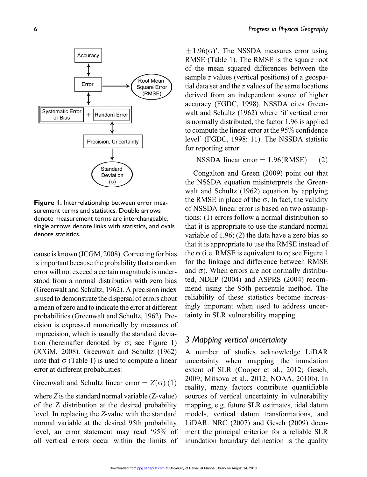Figure 1. Interrelationship between error measurement terms and statistics. Double arrows denote measurement terms are interchangeable, single arrows denote links with statistics, and ovals denote statistics.

cause is known (JCGM, 2008). Correcting for bias is important because the probability that a random error will not exceed a certain magnitude is understood from a normal distribution with zero bias (Greenwalt and Schultz, 1962). A precision index is used to demonstrate the dispersal of errors about a mean of zero and to indicate the error at different probabilities (Greenwalt and Schultz, 1962). Precision is expressed numerically by measures of imprecision, which is usually the standard deviation (hereinafter denoted by  $\sigma$ ; see Figure 1) (JCGM, 2008). Greenwalt and Schultz (1962) note that  $\sigma$  (Table 1) is used to compute a linear error at different probabilities:

Greenwalt and Schultz linear error =  $Z(\sigma)$  (1)

where  $Z$  is the standard normal variable  $(Z$ -value) of the Z distribution at the desired probability level. In replacing the Z-value with the standard normal variable at the desired 95th probability level, an error statement may read '95% of all vertical errors occur within the limits of

 $\pm 1.96(\sigma)$ . The NSSDA measures error using RMSE (Table 1). The RMSE is the square root of the mean squared differences between the sample z values (vertical positions) of a geospatial data set and the z values of the same locations derived from an independent source of higher accuracy (FGDC, 1998). NSSDA cites Greenwalt and Schultz (1962) where 'if vertical error is normally distributed, the factor 1.96 is applied to compute the linear error at the 95% confidence level' (FGDC, 1998: 11). The NSSDA statistic for reporting error:

NSSDA linear error  $= 1.96$ (RMSE) (2)

Congalton and Green (2009) point out that the NSSDA equation misinterprets the Greenwalt and Schultz (1962) equation by applying the RMSE in place of the  $\sigma$ . In fact, the validity of NSSDA linear error is based on two assumptions: (1) errors follow a normal distribution so that it is appropriate to use the standard normal variable of 1.96; (2) the data have a zero bias so that it is appropriate to use the RMSE instead of the  $\sigma$  (i.e. RMSE is equivalent to  $\sigma$ ; see Figure 1 for the linkage and difference between RMSE and  $\sigma$ ). When errors are not normally distributed, NDEP (2004) and ASPRS (2004) recommend using the 95th percentile method. The reliability of these statistics become increasingly important when used to address uncertainty in SLR vulnerability mapping.

#### 3 Mapping vertical uncertainty

A number of studies acknowledge LiDAR uncertainty when mapping the inundation extent of SLR (Cooper et al., 2012; Gesch, 2009; Mitsova et al., 2012; NOAA, 2010b). In reality, many factors contribute quantifiable sources of vertical uncertainty in vulnerability mapping, e.g. future SLR estimates, tidal datum models, vertical datum transformations, and LiDAR. NRC (2007) and Gesch (2009) document the principal criterion for a reliable SLR inundation boundary delineation is the quality

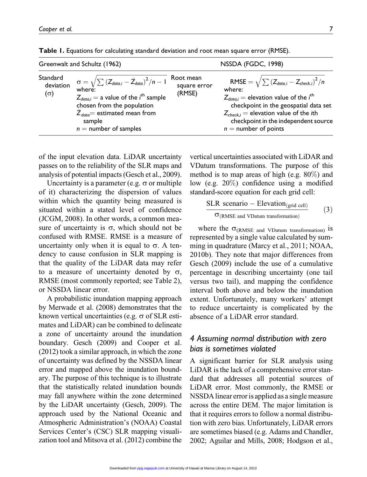|                                     | Greenwalt and Schultz (1962)                                                                                                                                                                                                                           | NSSDA (FGDC, 1998)                  |                                                                                                                                                                                                                                                                                                |  |
|-------------------------------------|--------------------------------------------------------------------------------------------------------------------------------------------------------------------------------------------------------------------------------------------------------|-------------------------------------|------------------------------------------------------------------------------------------------------------------------------------------------------------------------------------------------------------------------------------------------------------------------------------------------|--|
| Standard<br>deviation<br>$(\alpha)$ | $\sigma = \sqrt{\sum \left(Z_{data,i} - \bar{Z}_{data}\right)^2}/n - 1$ where:<br>$Z_{data,i} =$ a value of the $i^{\text{th}}$ sample<br>chosen from the population<br>$\overline{Z}_{data}$ estimated mean from<br>sample<br>$n =$ number of samples | Root mean<br>square error<br>(RMSE) | RMSE = $\sqrt{\sum (Z_{data,i} - Z_{check,i})^2/n}$<br>where:<br>$Z_{data,i}$ = elevation value of the <i>i</i> <sup>th</sup><br>checkpoint in the geospatial data set<br>$Z_{check,i}$ = elevation value of the <i>i</i> th<br>checkpoint in the independent source<br>$n =$ number of points |  |

Table 1. Equations for calculating standard deviation and root mean square error (RMSE).

of the input elevation data. LiDAR uncertainty passes on to the reliability of the SLR maps and analysis of potential impacts (Gesch et al., 2009).

Uncertainty is a parameter (e.g.  $\sigma$  or multiple of it) characterizing the dispersion of values within which the quantity being measured is situated within a stated level of confidence (JCGM, 2008). In other words, a common measure of uncertainty is  $\sigma$ , which should not be confused with RMSE. RMSE is a measure of uncertainty only when it is equal to  $\sigma$ . A tendency to cause confusion in SLR mapping is that the quality of the LiDAR data may refer to a measure of uncertainty denoted by  $\sigma$ , RMSE (most commonly reported; see Table 2), or NSSDA linear error.

A probabilistic inundation mapping approach by Merwade et al. (2008) demonstrates that the known vertical uncertainties (e.g.  $\sigma$  of SLR estimates and LiDAR) can be combined to delineate a zone of uncertainty around the inundation boundary. Gesch (2009) and Cooper et al. (2012) took a similar approach, in which the zone of uncertainty was defined by the NSSDA linear error and mapped above the inundation boundary. The purpose of this technique is to illustrate that the statistically related inundation bounds may fall anywhere within the zone determined by the LiDAR uncertainty (Gesch, 2009). The approach used by the National Oceanic and Atmospheric Administration's (NOAA) Coastal Services Center's (CSC) SLR mapping visualization tool and Mitsova et al. (2012) combine the vertical uncertainties associated with LiDAR and VDatum transformations. The purpose of this method is to map areas of high (e.g. 80%) and low (e.g. 20%) confidence using a modified standard-score equation for each grid cell:

SLR scenario – Elevation<sub>(grid cell)</sub>  
\n
$$
\sigma_{(RMSE \text{ and VDatum transformation)}} \tag{3}
$$

where the  $\sigma_{(RMSE)}$  and VDatum transformation) is represented by a single value calculated by summing in quadrature (Marcy et al., 2011; NOAA, 2010b). They note that major differences from Gesch (2009) include the use of a cumulative percentage in describing uncertainty (one tail versus two tail), and mapping the confidence interval both above and below the inundation extent. Unfortunately, many workers' attempt to reduce uncertainty is complicated by the absence of a LiDAR error standard.

## 4 Assuming normal distribution with zero bias is sometimes violated

A significant barrier for SLR analysis using LiDAR is the lack of a comprehensive error standard that addresses all potential sources of LiDAR error. Most commonly, the RMSE or NSSDA linear error is applied as a single measure across the entire DEM. The major limitation is that it requires errors to follow a normal distribution with zero bias. Unfortunately, LiDAR errors are sometimes biased (e.g. Adams and Chandler, 2002; Aguilar and Mills, 2008; Hodgson et al.,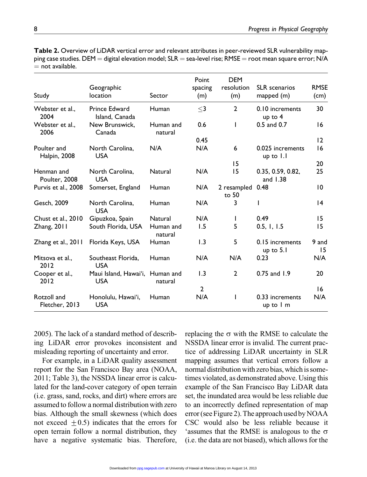| Study                         | Geographic<br><b>location</b>       | Sector               | Point<br>spacing<br>(m) | <b>DEM</b><br>resolution<br>(m) | <b>SLR</b> scenarios<br>mapped (m)      | <b>RMSE</b><br>(cm) |
|-------------------------------|-------------------------------------|----------------------|-------------------------|---------------------------------|-----------------------------------------|---------------------|
| Webster et al<br>2004         | Prince Edward<br>Island, Canada     | Human                | $<$ 3                   | $\mathbf{2}$                    | 0.10 increments<br>up to $4$            | 30                  |
| Webster et al<br>2006         | New Brunswick.<br>Canada            | Human and<br>natural | 0.6                     | $\mathbf{I}$                    | $0.5$ and $0.7$                         | 16                  |
|                               |                                     |                      | 0.45                    |                                 |                                         | 12                  |
| Poulter and<br>Halpin, 2008   | North Carolina.<br><b>USA</b>       | N/A                  | N/A                     | 6                               | 0.025 increments<br>up to $1.1$         | 16                  |
|                               |                                     |                      |                         | 15                              |                                         | 20                  |
| Henman and<br>Poulter, 2008   | North Carolina.<br><b>USA</b>       | Natural              | N/A                     | 15                              | 0.35, 0.59, 0.82,<br>and $1.38$         | 25                  |
| Purvis et al., 2008           | Somerset, England                   | Human                | N/A                     | 2 resampled 0.48<br>to 50       |                                         | 10                  |
| Gesch, 2009                   | North Carolina,<br><b>USA</b>       | Human                | N/A                     | 3                               |                                         | 4                   |
| Chust et al., 2010            | Gipuzkoa, Spain                     | Natural              | N/A                     | $\mathbf{I}$                    | 0.49                                    | 15                  |
| Zhang, 2011                   | South Florida, USA                  | Human and<br>natural | 1.5                     | 5                               | 0.5, 1, 1.5                             | 15                  |
| Zhang et al., 2011            | Florida Keys, USA                   | Human                | 1.3                     | 5                               | 0.15 increments<br>up to $5.1$          | 9 and<br>15         |
| Mitsova et al.,<br>2012       | Southeast Florida,<br><b>USA</b>    | Human                | N/A                     | N/A                             | 0.23                                    | N/A                 |
| Cooper et al.,<br>2012        | Maui Island, Hawaiʻi,<br><b>USA</b> | Human and<br>natural | 1.3                     | $\overline{2}$                  | $0.75$ and $1.9$                        | 20                  |
|                               |                                     |                      | $\mathbf{2}$            |                                 |                                         | 16                  |
| Rotzoll and<br>Fletcher, 2013 | Honolulu, Hawai'i,<br><b>USA</b>    | Human                | N/A                     | L                               | 0.33 increments<br>up to $\mathsf{I}$ m | N/A                 |

Table 2. Overview of LiDAR vertical error and relevant attributes in peer-reviewed SLR vulnerability mapping case studies. DEM = digital elevation model;  $SLR$  = sea-level rise; RMSE = root mean square error; N/A  $=$  not available.

2005). The lack of a standard method of describing LiDAR error provokes inconsistent and misleading reporting of uncertainty and error.

For example, in a LiDAR quality assessment report for the San Francisco Bay area (NOAA, 2011; Table 3), the NSSDA linear error is calculated for the land-cover category of open terrain (i.e. grass, sand, rocks, and dirt) where errors are assumed to follow a normal distribution with zero bias. Although the small skewness (which does not exceed  $+0.5$ ) indicates that the errors for open terrain follow a normal distribution, they have a negative systematic bias. Therefore,

replacing the  $\sigma$  with the RMSE to calculate the NSSDA linear error is invalid. The current practice of addressing LiDAR uncertainty in SLR mapping assumes that vertical errors follow a normal distribution with zero bias, which is sometimes violated, as demonstrated above. Using this example of the San Francisco Bay LiDAR data set, the inundated area would be less reliable due to an incorrectly defined representation of map error (see Figure 2). The approach used by NOAA CSC would also be less reliable because it 'assumes that the RMSE is analogous to the  $\sigma$ (i.e. the data are not biased), which allows for the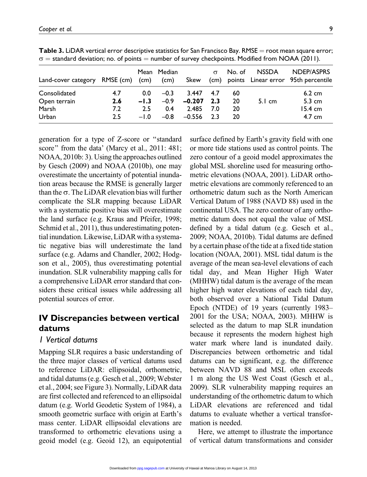generation for a type of Z-score or ''standard score'' from the data' (Marcy et al., 2011: 481; NOAA, 2010b: 3). Using the approaches outlined by Gesch (2009) and NOAA (2010b), one may overestimate the uncertainty of potential inundation areas because the RMSE is generally larger than the  $\sigma$ . The LiDAR elevation bias will further complicate the SLR mapping because LiDAR with a systematic positive bias will overestimate the land surface (e.g. Kraus and Pfeifer, 1998; Schmid et al., 2011), thus underestimating potential inundation. Likewise, LiDAR with a systematic negative bias will underestimate the land surface (e.g. Adams and Chandler, 2002; Hodgson et al., 2005), thus overestimating potential inundation. SLR vulnerability mapping calls for a comprehensive LiDAR error standard that considers these critical issues while addressing all potential sources of error.

# IV Discrepancies between vertical datums

#### 1 Vertical datums

Mapping SLR requires a basic understanding of the three major classes of vertical datums used to reference LiDAR: ellipsoidal, orthometric, and tidal datums (e.g. Gesch et al., 2009; Webster et al., 2004; see Figure 3). Normally, LiDAR data are first collected and referenced to an ellipsoidal datum (e.g. World Geodetic System of 1984), a smooth geometric surface with origin at Earth's mass center. LiDAR ellipsoidal elevations are transformed to orthometric elevations using a geoid model (e.g. Geoid 12), an equipotential

surface defined by Earth's gravity field with one or more tide stations used as control points. The zero contour of a geoid model approximates the global MSL shoreline used for measuring orthometric elevations (NOAA, 2001). LiDAR orthometric elevations are commonly referenced to an orthometric datum such as the North American Vertical Datum of 1988 (NAVD 88) used in the continental USA. The zero contour of any orthometric datum does not equal the value of MSL defined by a tidal datum (e.g. Gesch et al., 2009; NOAA, 2010b). Tidal datums are defined by a certain phase of the tide at a fixed tide station location (NOAA, 2001). MSL tidal datum is the average of the mean sea-level elevations of each tidal day, and Mean Higher High Water (MHHW) tidal datum is the average of the mean higher high water elevations of each tidal day, both observed over a National Tidal Datum Epoch (NTDE) of 19 years (currently 1983– 2001 for the USA; NOAA, 2003). MHHW is selected as the datum to map SLR inundation because it represents the modern highest high water mark where land is inundated daily. Discrepancies between orthometric and tidal datums can be significant, e.g. the difference between NAVD 88 and MSL often exceeds 1 m along the US West Coast (Gesch et al., 2009). SLR vulnerability mapping requires an understanding of the orthometric datum to which LiDAR elevations are referenced and tidal datums to evaluate whether a vertical transformation is needed.

Here, we attempt to illustrate the importance of vertical datum transformations and consider

Land-cover category RMSE (cm) Mean (cm) Median (cm) Skew  $\sigma$ (cm) No. of points NSSDA Linear error 95th percentile NDEP/ASPRS Consolidated 4.7 0.0 –0.3 3.447 4.7 60 6.2 cm Open terrain **2.6 –1.3** –0.9 **–0.207 2.3** 20 5.1 cm 5.3 cm Marsh 7.2 2.5 0.4 2.485 7.0 20 15.4 cm Urban 2.5 –1.0 –0.8 –0.556 2.3 20 4.7 cm

**Table 3.** LiDAR vertical error descriptive statistics for San Francisco Bay. RMSE  $=$  root mean square error;  $\sigma$  = standard deviation; no. of points = number of survey checkpoints. Modified from NOAA (2011).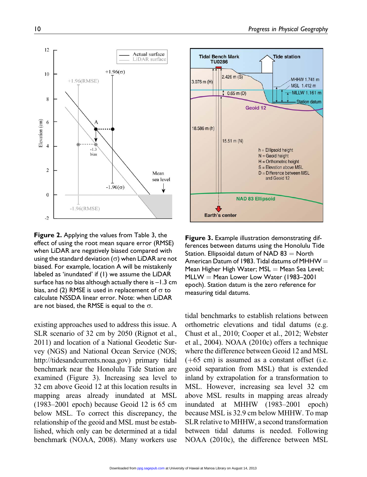

Figure 2. Applying the values from Table 3, the effect of using the root mean square error (RMSE) when LiDAR are negatively biased compared with using the standard deviation ( $\sigma$ ) when LiDAR are not biased. For example, location A will be mistakenly labeled as 'inundated' if (1) we assume the LiDAR surface has no bias although actually there is  $-1.3$  cm bias, and (2) RMSE is used in replacement of  $\sigma$  to calculate NSSDA linear error. Note: when LiDAR are not biased, the RMSE is equal to the  $\sigma$ .

existing approaches used to address this issue. A SLR scenario of 32 cm by 2050 (Rignot et al., 2011) and location of a National Geodetic Survey (NGS) and National Ocean Service (NOS; http://tidesandcurrents.noaa.gov) primary tidal benchmark near the Honolulu Tide Station are examined (Figure 3). Increasing sea level to 32 cm above Geoid 12 at this location results in mapping areas already inundated at MSL (1983–2001 epoch) because Geoid 12 is 65 cm below MSL. To correct this discrepancy, the relationship of the geoid and MSL must be established, which only can be determined at a tidal benchmark (NOAA, 2008). Many workers use



Figure 3. Example illustration demonstrating differences between datums using the Honolulu Tide Station. Ellipsoidal datum of NAD  $83 =$  North American Datum of 1983. Tidal datums of MHHW  $=$ Mean Higher High Water;  $MSL = Mean Sea Level;$  $MLLW = Mean$  Lower Low Water (1983–2001) epoch). Station datum is the zero reference for measuring tidal datums.

tidal benchmarks to establish relations between orthometric elevations and tidal datums (e.g. Chust et al., 2010; Cooper et al., 2012; Webster et al., 2004). NOAA (2010c) offers a technique where the difference between Geoid 12 and MSL  $(+65$  cm) is assumed as a constant offset (i.e. geoid separation from MSL) that is extended inland by extrapolation for a transformation to MSL. However, increasing sea level 32 cm above MSL results in mapping areas already inundated at MHHW (1983–2001 epoch) because MSL is 32.9 cm below MHHW. To map SLR relative to MHHW, a second transformation between tidal datums is needed. Following NOAA (2010c), the difference between MSL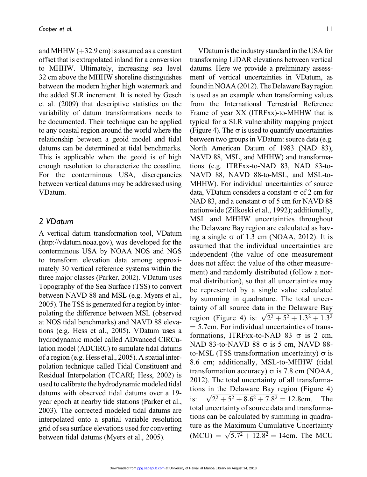and MHHW  $(+32.9 \text{ cm})$  is assumed as a constant offset that is extrapolated inland for a conversion to MHHW. Ultimately, increasing sea level 32 cm above the MHHW shoreline distinguishes between the modern higher high watermark and the added SLR increment. It is noted by Gesch et al. (2009) that descriptive statistics on the variability of datum transformations needs to be documented. Their technique can be applied to any coastal region around the world where the relationship between a geoid model and tidal datums can be determined at tidal benchmarks. This is applicable when the geoid is of high enough resolution to characterize the coastline. For the conterminous USA, discrepancies between vertical datums may be addressed using VDatum.

#### 2 VDatum

A vertical datum transformation tool, VDatum (http://vdatum.noaa.gov), was developed for the conterminous USA by NOAA NOS and NGS to transform elevation data among approximately 30 vertical reference systems within the three major classes (Parker, 2002). VDatum uses Topography of the Sea Surface (TSS) to convert between NAVD 88 and MSL (e.g. Myers et al., 2005). The TSS is generated for a region by interpolating the difference between MSL (observed at NOS tidal benchmarks) and NAVD 88 elevations (e.g. Hess et al., 2005). VDatum uses a hydrodynamic model called ADvanced CIRCulation model (ADCIRC) to simulate tidal datums of a region (e.g. Hess et al., 2005). A spatial interpolation technique called Tidal Constituent and Residual Interpolation (TCARI; Hess, 2002) is used to calibrate the hydrodynamic modeled tidal datums with observed tidal datums over a 19 year epoch at nearby tide stations (Parker et al., 2003). The corrected modeled tidal datums are interpolated onto a spatial variable resolution grid of sea surface elevations used for converting between tidal datums (Myers et al., 2005).

VDatum is the industry standard in the USA for transforming LiDAR elevations between vertical datums. Here we provide a preliminary assessment of vertical uncertainties in VDatum, as found in NOAA (2012). The Delaware Bay region is used as an example when transforming values from the International Terrestrial Reference Frame of year XX (ITRFxx)-to-MHHW that is typical for a SLR vulnerability mapping project (Figure 4). The  $\sigma$  is used to quantify uncertainties between two groups in VDatum: source data (e.g. North American Datum of 1983 (NAD 83), NAVD 88, MSL, and MHHW) and transformations (e.g. ITRFxx-to-NAD 83, NAD 83-to-NAVD 88, NAVD 88-to-MSL, and MSL-to-MHHW). For individual uncertainties of source data, VDatum considers a constant  $\sigma$  of 2 cm for NAD 83, and a constant  $\sigma$  of 5 cm for NAVD 88 nationwide (Zilkoski et al., 1992); additionally, MSL and MHHW uncertainties throughout the Delaware Bay region are calculated as having a single  $\sigma$  of 1.3 cm (NOAA, 2012). It is assumed that the individual uncertainties are independent (the value of one measurement does not affect the value of the other measurement) and randomly distributed (follow a normal distribution), so that all uncertainties may be represented by a single value calculated by summing in quadrature. The total uncertainty of all source data in the Delaware Bay region (Figure 4) is:  $\sqrt{2^2 + 5^2 + 1.3^2 + 1.3^2}$  $=$  5.7cm. For individual uncertainties of transformations, ITRFxx-to-NAD 83  $\sigma$  is 2 cm, NAD 83-to-NAVD 88  $\sigma$  is 5 cm, NAVD 88to-MSL (TSS transformation uncertainty)  $\sigma$  is 8.6 cm; additionally, MSL-to-MHHW (tidal transformation accuracy)  $\sigma$  is 7.8 cm (NOAA, 2012). The total uncertainty of all transformations in the Delaware Bay region (Figure 4) is:  $\sqrt{2^2 + 5^2 + 8.6^2 + 7.8^2} = 12.8$ cm. The total uncertainty of source data and transformations can be calculated by summing in quadrature as the Maximum Cumulative Uncertainty (MCU) =  $\sqrt{5.7^2 + 12.8^2} = 14$ cm. The MCU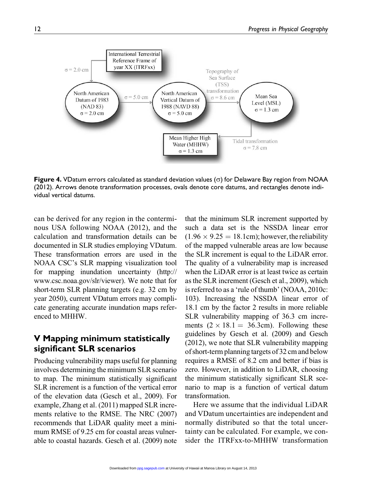**International Terrestrial** Reference Frame of vear XX (ITRFxx)  $\sigma$  = 2.0 cm Topography of Sea Surface  $(TSS)$ transformation North American North American  $\sigma$  = 5.0 cm Mean Sea  $\sigma$  = 8.6 cm Datum of 1983 Vertical Datum of Level (MSL) (NAD 83) 1988 (NAVD 88)  $\sigma$  = 1.3 cm  $\sigma$  = 5.0 cm  $\sigma$  = 2.0 cm Mean Higher High Tidal transformation Water (MHHW)  $\sigma$  = 7.8 cm  $\sigma$  = 1.3 cm

Figure 4. VDatum errors calculated as standard deviation values  $(\sigma)$  for Delaware Bay region from NOAA (2012). Arrows denote transformation processes, ovals denote core datums, and rectangles denote individual vertical datums.

can be derived for any region in the conterminous USA following NOAA (2012), and the calculation and transformation details can be documented in SLR studies employing VDatum. These transformation errors are used in the NOAA CSC's SLR mapping visualization tool for mapping inundation uncertainty (http:// www.csc.noaa.gov/slr/viewer). We note that for short-term SLR planning targets (e.g. 32 cm by year 2050), current VDatum errors may complicate generating accurate inundation maps referenced to MHHW.

# V Mapping minimum statistically significant SLR scenarios

Producing vulnerability maps useful for planning involves determining the minimum SLR scenario to map. The minimum statistically significant SLR increment is a function of the vertical error of the elevation data (Gesch et al., 2009). For example, Zhang et al. (2011) mapped SLR increments relative to the RMSE. The NRC (2007) recommends that LiDAR quality meet a minimum RMSE of 9.25 cm for coastal areas vulnerable to coastal hazards. Gesch et al. (2009) note

that the minimum SLR increment supported by such a data set is the NSSDA linear error  $(1.96 \times 9.25 = 18.1$ cm); however, the reliability of the mapped vulnerable areas are low because the SLR increment is equal to the LiDAR error. The quality of a vulnerability map is increased when the LiDAR error is at least twice as certain as the SLR increment (Gesch et al., 2009), which is referred to as a 'rule of thumb' (NOAA, 2010c: 103). Increasing the NSSDA linear error of 18.1 cm by the factor 2 results in more reliable SLR vulnerability mapping of 36.3 cm increments  $(2 \times 18.1 = 36.3$ cm). Following these guidelines by Gesch et al. (2009) and Gesch (2012), we note that SLR vulnerability mapping of short-term planning targets of 32 cm and below requires a RMSE of 8.2 cm and better if bias is zero. However, in addition to LiDAR, choosing the minimum statistically significant SLR scenario to map is a function of vertical datum transformation.

Here we assume that the individual LiDAR and VDatum uncertainties are independent and normally distributed so that the total uncertainty can be calculated. For example, we consider the ITRFxx-to-MHHW transformation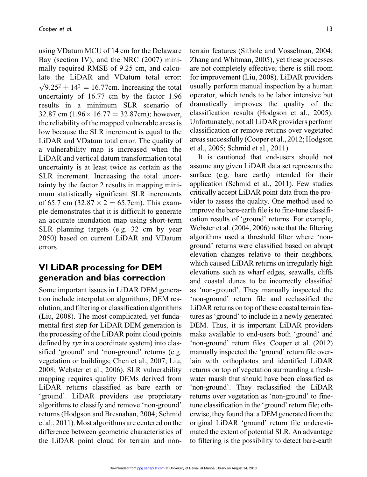using VDatum MCU of 14 cm for the Delaware Bay (section IV), and the NRC (2007) minimally required RMSE of 9.25 cm, and calculate the LiDAR and VDatum total error:  $\sqrt{9.25^2 + 14^2} = 16.77$ cm. Increasing the total uncertainty of 16.77 cm by the factor 1.96 results in a minimum SLR scenario of 32.87 cm  $(1.96 \times 16.77 = 32.87$ cm); however, the reliability of the mapped vulnerable areas is low because the SLR increment is equal to the LiDAR and VDatum total error. The quality of a vulnerability map is increased when the LiDAR and vertical datum transformation total uncertainty is at least twice as certain as the SLR increment. Increasing the total uncertainty by the factor 2 results in mapping minimum statistically significant SLR increments of 65.7 cm  $(32.87 \times 2 = 65.7$ cm). This example demonstrates that it is difficult to generate an accurate inundation map using short-term SLR planning targets (e.g. 32 cm by year 2050) based on current LiDAR and VDatum errors.

# VI LiDAR processing for DEM generation and bias correction

Some important issues in LiDAR DEM generation include interpolation algorithms, DEM resolution, and filtering or classification algorithms (Liu, 2008). The most complicated, yet fundamental first step for LiDAR DEM generation is the processing of the LiDAR point cloud (points defined by  $xyz$  in a coordinate system) into classified 'ground' and 'non-ground' returns (e.g. vegetation or buildings; Chen et al., 2007; Liu, 2008; Webster et al., 2006). SLR vulnerability mapping requires quality DEMs derived from LiDAR returns classified as bare earth or 'ground'. LiDAR providers use proprietary algorithms to classify and remove 'non-ground' returns (Hodgson and Bresnahan, 2004; Schmid et al., 2011). Most algorithms are centered on the difference between geometric characteristics of the LiDAR point cloud for terrain and nonterrain features (Sithole and Vosselman, 2004; Zhang and Whitman, 2005), yet these processes are not completely effective; there is still room for improvement (Liu, 2008). LiDAR providers usually perform manual inspection by a human operator, which tends to be labor intensive but dramatically improves the quality of the classification results (Hodgson et al., 2005). Unfortunately, not all LiDAR providers perform classification or remove returns over vegetated areas successfully (Cooper et al., 2012; Hodgson et al., 2005; Schmid et al., 2011).

It is cautioned that end-users should not assume any given LiDAR data set represents the surface (e.g. bare earth) intended for their application (Schmid et al., 2011). Few studies critically accept LiDAR point data from the provider to assess the quality. One method used to improve the bare-earth file is to fine-tune classification results of 'ground' returns. For example, Webster et al. (2004, 2006) note that the filtering algorithms used a threshold filter where 'nonground' returns were classified based on abrupt elevation changes relative to their neighbors, which caused LiDAR returns on irregularly high elevations such as wharf edges, seawalls, cliffs and coastal dunes to be incorrectly classified as 'non-ground'. They manually inspected the 'non-ground' return file and reclassified the LiDAR returns on top of these coastal terrain features as 'ground' to include in a newly generated DEM. Thus, it is important LiDAR providers make available to end-users both 'ground' and 'non-ground' return files. Cooper et al. (2012) manually inspected the 'ground' return file overlain with orthophotos and identified LiDAR returns on top of vegetation surrounding a freshwater marsh that should have been classified as 'non-ground'. They reclassified the LiDAR returns over vegetation as 'non-ground' to finetune classification in the 'ground' return file; otherwise, they found that a DEM generated from the original LiDAR 'ground' return file underestimated the extent of potential SLR. An advantage to filtering is the possibility to detect bare-earth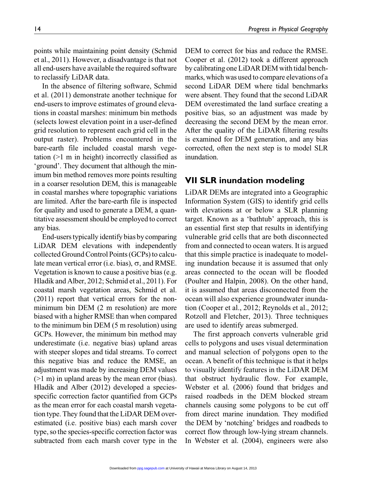points while maintaining point density (Schmid et al., 2011). However, a disadvantage is that not all end-users have available the required software to reclassify LiDAR data.

In the absence of filtering software, Schmid et al. (2011) demonstrate another technique for end-users to improve estimates of ground elevations in coastal marshes: minimum bin methods (selects lowest elevation point in a user-defined grid resolution to represent each grid cell in the output raster). Problems encountered in the bare-earth file included coastal marsh vegetation (>1 m in height) incorrectly classified as 'ground'. They document that although the minimum bin method removes more points resulting in a coarser resolution DEM, this is manageable in coastal marshes where topographic variations are limited. After the bare-earth file is inspected for quality and used to generate a DEM, a quantitative assessment should be employed to correct any bias.

End-users typically identify bias by comparing LiDAR DEM elevations with independently collected Ground Control Points (GCPs) to calculate mean vertical error (i.e. bias),  $\sigma$ , and RMSE. Vegetation is known to cause a positive bias (e.g. Hladik and Alber, 2012; Schmid et al., 2011). For coastal marsh vegetation areas, Schmid et al. (2011) report that vertical errors for the nonminimum bin DEM (2 m resolution) are more biased with a higher RMSE than when compared to the minimum bin DEM (5 m resolution) using GCPs. However, the minimum bin method may underestimate (i.e. negative bias) upland areas with steeper slopes and tidal streams. To correct this negative bias and reduce the RMSE, an adjustment was made by increasing DEM values (>1 m) in upland areas by the mean error (bias). Hladik and Alber (2012) developed a speciesspecific correction factor quantified from GCPs as the mean error for each coastal marsh vegetation type. They found that the LiDAR DEM overestimated (i.e. positive bias) each marsh cover type, so the species-specific correction factor was subtracted from each marsh cover type in the

DEM to correct for bias and reduce the RMSE. Cooper et al. (2012) took a different approach by calibrating one LiDAR DEM with tidal benchmarks, which was used to compare elevations of a second LiDAR DEM where tidal benchmarks were absent. They found that the second LiDAR DEM overestimated the land surface creating a positive bias, so an adjustment was made by decreasing the second DEM by the mean error. After the quality of the LiDAR filtering results is examined for DEM generation, and any bias corrected, often the next step is to model SLR inundation.

## VII SLR inundation modeling

LiDAR DEMs are integrated into a Geographic Information System (GIS) to identify grid cells with elevations at or below a SLR planning target. Known as a 'bathtub' approach, this is an essential first step that results in identifying vulnerable grid cells that are both disconnected from and connected to ocean waters. It is argued that this simple practice is inadequate to modeling inundation because it is assumed that only areas connected to the ocean will be flooded (Poulter and Halpin, 2008). On the other hand, it is assumed that areas disconnected from the ocean will also experience groundwater inundation (Cooper et al., 2012; Reynolds et al., 2012; Rotzoll and Fletcher, 2013). Three techniques are used to identify areas submerged.

The first approach converts vulnerable grid cells to polygons and uses visual determination and manual selection of polygons open to the ocean. A benefit of this technique is that it helps to visually identify features in the LiDAR DEM that obstruct hydraulic flow. For example, Webster et al. (2006) found that bridges and raised roadbeds in the DEM blocked stream channels causing some polygons to be cut off from direct marine inundation. They modified the DEM by 'notching' bridges and roadbeds to correct flow through low-lying stream channels. In Webster et al. (2004), engineers were also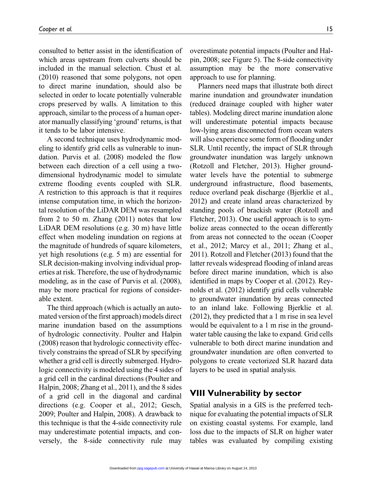consulted to better assist in the identification of which areas upstream from culverts should be included in the manual selection. Chust et al. (2010) reasoned that some polygons, not open to direct marine inundation, should also be selected in order to locate potentially vulnerable crops preserved by walls. A limitation to this approach, similar to the process of a human operator manually classifying 'ground' returns, is that it tends to be labor intensive.

A second technique uses hydrodynamic modeling to identify grid cells as vulnerable to inundation. Purvis et al. (2008) modeled the flow between each direction of a cell using a twodimensional hydrodynamic model to simulate extreme flooding events coupled with SLR. A restriction to this approach is that it requires intense computation time, in which the horizontal resolution of the LiDAR DEM was resampled from 2 to 50 m. Zhang (2011) notes that low LiDAR DEM resolutions (e.g. 30 m) have little effect when modeling inundation on regions at the magnitude of hundreds of square kilometers, yet high resolutions (e.g. 5 m) are essential for SLR decision-making involving individual properties at risk. Therefore, the use of hydrodynamic modeling, as in the case of Purvis et al. (2008), may be more practical for regions of considerable extent.

The third approach (which is actually an automated version of the first approach) models direct marine inundation based on the assumptions of hydrologic connectivity. Poulter and Halpin (2008) reason that hydrologic connectivity effectively constrains the spread of SLR by specifying whether a grid cell is directly submerged. Hydrologic connectivity is modeled using the 4 sides of a grid cell in the cardinal directions (Poulter and Halpin, 2008; Zhang et al., 2011), and the 8 sides of a grid cell in the diagonal and cardinal directions (e.g. Cooper et al., 2012; Gesch, 2009; Poulter and Halpin, 2008). A drawback to this technique is that the 4-side connectivity rule may underestimate potential impacts, and conversely, the 8-side connectivity rule may

overestimate potential impacts (Poulter and Halpin, 2008; see Figure 5). The 8-side connectivity assumption may be the more conservative approach to use for planning.

Planners need maps that illustrate both direct marine inundation and groundwater inundation (reduced drainage coupled with higher water tables). Modeling direct marine inundation alone will underestimate potential impacts because low-lying areas disconnected from ocean waters will also experience some form of flooding under SLR. Until recently, the impact of SLR through groundwater inundation was largely unknown (Rotzoll and Fletcher, 2013). Higher groundwater levels have the potential to submerge underground infrastructure, flood basements, reduce overland peak discharge (Bjerklie et al., 2012) and create inland areas characterized by standing pools of brackish water (Rotzoll and Fletcher, 2013). One useful approach is to symbolize areas connected to the ocean differently from areas not connected to the ocean (Cooper et al., 2012; Marcy et al., 2011; Zhang et al., 2011). Rotzoll and Fletcher (2013) found that the latter reveals widespread flooding of inland areas before direct marine inundation, which is also identified in maps by Cooper et al. (2012). Reynolds et al. (2012) identify grid cells vulnerable to groundwater inundation by areas connected to an inland lake. Following Bjerklie et al. (2012), they predicted that a 1 m rise in sea level would be equivalent to a 1 m rise in the groundwater table causing the lake to expand. Grid cells vulnerable to both direct marine inundation and groundwater inundation are often converted to polygons to create vectorized SLR hazard data layers to be used in spatial analysis.

### VIII Vulnerability by sector

Spatial analysis in a GIS is the preferred technique for evaluating the potential impacts of SLR on existing coastal systems. For example, land loss due to the impacts of SLR on higher water tables was evaluated by compiling existing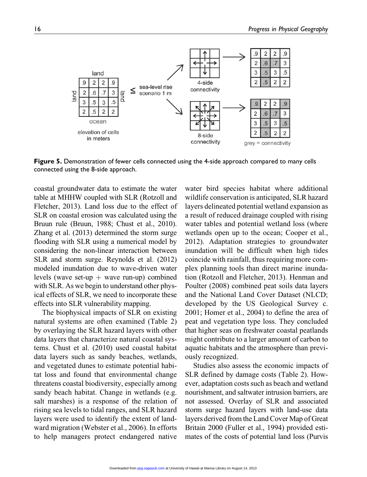

Figure 5. Demonstration of fewer cells connected using the 4-side approach compared to many cells connected using the 8-side approach.

coastal groundwater data to estimate the water table at MHHW coupled with SLR (Rotzoll and Fletcher, 2013). Land loss due to the effect of SLR on coastal erosion was calculated using the Bruun rule (Bruun, 1988; Chust et al., 2010). Zhang et al. (2013) determined the storm surge flooding with SLR using a numerical model by considering the non-linear interaction between SLR and storm surge. Reynolds et al. (2012) modeled inundation due to wave-driven water levels (wave set-up  $+$  wave run-up) combined with SLR. As we begin to understand other physical effects of SLR, we need to incorporate these effects into SLR vulnerability mapping.

The biophysical impacts of SLR on existing natural systems are often examined (Table 2) by overlaying the SLR hazard layers with other data layers that characterize natural coastal systems. Chust et al. (2010) used coastal habitat data layers such as sandy beaches, wetlands, and vegetated dunes to estimate potential habitat loss and found that environmental change threatens coastal biodiversity, especially among sandy beach habitat. Change in wetlands (e.g. salt marshes) is a response of the relation of rising sea levels to tidal ranges, and SLR hazard layers were used to identify the extent of landward migration (Webster et al., 2006). In efforts to help managers protect endangered native

water bird species habitat where additional wildlife conservation is anticipated, SLR hazard layers delineated potential wetland expansion as a result of reduced drainage coupled with rising water tables and potential wetland loss (where wetlands open up to the ocean; Cooper et al., 2012). Adaptation strategies to groundwater inundation will be difficult when high tides coincide with rainfall, thus requiring more complex planning tools than direct marine inundation (Rotzoll and Fletcher, 2013). Henman and Poulter (2008) combined peat soils data layers and the National Land Cover Dataset (NLCD; developed by the US Geological Survey c. 2001; Homer et al., 2004) to define the area of peat and vegetation type loss. They concluded that higher seas on freshwater coastal peatlands might contribute to a larger amount of carbon to aquatic habitats and the atmosphere than previously recognized.

Studies also assess the economic impacts of SLR defined by damage costs (Table 2). However, adaptation costs such as beach and wetland nourishment, and saltwater intrusion barriers, are not assessed. Overlay of SLR and associated storm surge hazard layers with land-use data layers derived from the Land Cover Map of Great Britain 2000 (Fuller et al., 1994) provided estimates of the costs of potential land loss (Purvis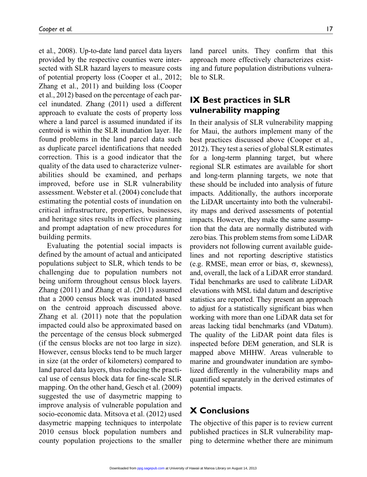et al., 2008). Up-to-date land parcel data layers provided by the respective counties were intersected with SLR hazard layers to measure costs of potential property loss (Cooper et al., 2012; Zhang et al., 2011) and building loss (Cooper et al., 2012) based on the percentage of each parcel inundated. Zhang (2011) used a different approach to evaluate the costs of property loss where a land parcel is assumed inundated if its centroid is within the SLR inundation layer. He found problems in the land parcel data such as duplicate parcel identifications that needed correction. This is a good indicator that the quality of the data used to characterize vulnerabilities should be examined, and perhaps improved, before use in SLR vulnerability assessment. Webster et al. (2004) conclude that estimating the potential costs of inundation on critical infrastructure, properties, businesses, and heritage sites results in effective planning and prompt adaptation of new procedures for building permits.

Evaluating the potential social impacts is defined by the amount of actual and anticipated populations subject to SLR, which tends to be challenging due to population numbers not being uniform throughout census block layers. Zhang (2011) and Zhang et al. (2011) assumed that a 2000 census block was inundated based on the centroid approach discussed above. Zhang et al. (2011) note that the population impacted could also be approximated based on the percentage of the census block submerged (if the census blocks are not too large in size). However, census blocks tend to be much larger in size (at the order of kilometers) compared to land parcel data layers, thus reducing the practical use of census block data for fine-scale SLR mapping. On the other hand, Gesch et al. (2009) suggested the use of dasymetric mapping to improve analysis of vulnerable population and socio-economic data. Mitsova et al. (2012) used dasymetric mapping techniques to interpolate 2010 census block population numbers and county population projections to the smaller land parcel units. They confirm that this approach more effectively characterizes existing and future population distributions vulnerable to SLR.

# IX Best practices in SLR vulnerability mapping

In their analysis of SLR vulnerability mapping for Maui, the authors implement many of the best practices discussed above (Cooper et al., 2012). They test a series of global SLR estimates for a long-term planning target, but where regional SLR estimates are available for short and long-term planning targets, we note that these should be included into analysis of future impacts. Additionally, the authors incorporate the LiDAR uncertainty into both the vulnerability maps and derived assessments of potential impacts. However, they make the same assumption that the data are normally distributed with zero bias. This problem stems from some LiDAR providers not following current available guidelines and not reporting descriptive statistics (e.g. RMSE, mean error or bias,  $\sigma$ , skewness), and, overall, the lack of a LiDAR error standard. Tidal benchmarks are used to calibrate LiDAR elevations with MSL tidal datum and descriptive statistics are reported. They present an approach to adjust for a statistically significant bias when working with more than one LiDAR data set for areas lacking tidal benchmarks (and VDatum). The quality of the LiDAR point data files is inspected before DEM generation, and SLR is mapped above MHHW. Areas vulnerable to marine and groundwater inundation are symbolized differently in the vulnerability maps and quantified separately in the derived estimates of potential impacts.

# X Conclusions

The objective of this paper is to review current published practices in SLR vulnerability mapping to determine whether there are minimum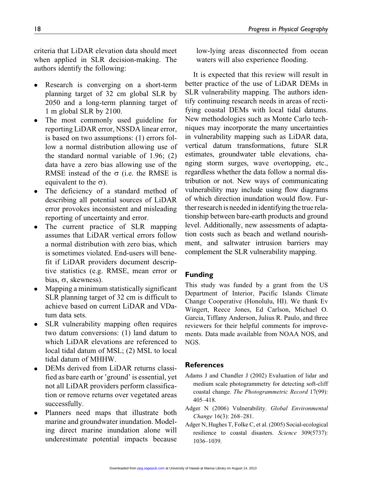criteria that LiDAR elevation data should meet when applied in SLR decision-making. The authors identify the following:

- Research is converging on a short-term planning target of 32 cm global SLR by 2050 and a long-term planning target of 1 m global SLR by 2100.
- The most commonly used guideline for reporting LiDAR error, NSSDA linear error, is based on two assumptions: (1) errors follow a normal distribution allowing use of the standard normal variable of 1.96; (2) data have a zero bias allowing use of the RMSE instead of the  $\sigma$  (i.e. the RMSE is equivalent to the  $\sigma$ ).
- The deficiency of a standard method of describing all potential sources of LiDAR error provokes inconsistent and misleading reporting of uncertainty and error.
- The current practice of SLR mapping assumes that LiDAR vertical errors follow a normal distribution with zero bias, which is sometimes violated. End-users will benefit if LiDAR providers document descriptive statistics (e.g. RMSE, mean error or bias,  $\sigma$ , skewness).
- Mapping a minimum statistically significant SLR planning target of 32 cm is difficult to achieve based on current LiDAR and VDatum data sets.
- SLR vulnerability mapping often requires two datum conversions: (1) land datum to which LiDAR elevations are referenced to local tidal datum of MSL; (2) MSL to local tidal datum of MHHW.
- DEMs derived from LiDAR returns classified as bare earth or 'ground' is essential, yet not all LiDAR providers perform classification or remove returns over vegetated areas successfully.
- Planners need maps that illustrate both marine and groundwater inundation. Modeling direct marine inundation alone will underestimate potential impacts because

low-lying areas disconnected from ocean waters will also experience flooding.

It is expected that this review will result in better practice of the use of LiDAR DEMs in SLR vulnerability mapping. The authors identify continuing research needs in areas of rectifying coastal DEMs with local tidal datums. New methodologies such as Monte Carlo techniques may incorporate the many uncertainties in vulnerability mapping such as LiDAR data, vertical datum transformations, future SLR estimates, groundwater table elevations, changing storm surges, wave overtopping, etc., regardless whether the data follow a normal distribution or not. New ways of communicating vulnerability may include using flow diagrams of which direction inundation would flow. Further research is needed in identifying the true relationship between bare-earth products and ground level. Additionally, new assessments of adaptation costs such as beach and wetland nourishment, and saltwater intrusion barriers may complement the SLR vulnerability mapping.

#### Funding

This study was funded by a grant from the US Department of Interior, Pacific Islands Climate Change Cooperative (Honolulu, HI). We thank Ev Wingert, Reece Jones, Ed Carlson, Michael O. Garcia, Tiffany Anderson, Julius R. Paulo, and three reviewers for their helpful comments for improvements. Data made available from NOAA NOS, and NGS.

#### References

- Adams J and Chandler J (2002) Evaluation of lidar and medium scale photogrammetry for detecting soft-cliff coastal change. The Photogrammetric Record 17(99): 405–418.
- Adger N (2006) Vulnerability. Global Environmental Change 16(3): 268–281.
- Adger N, Hughes T, Folke C, et al. (2005) Social-ecological resilience to coastal disasters. Science 309(5737): 1036–1039.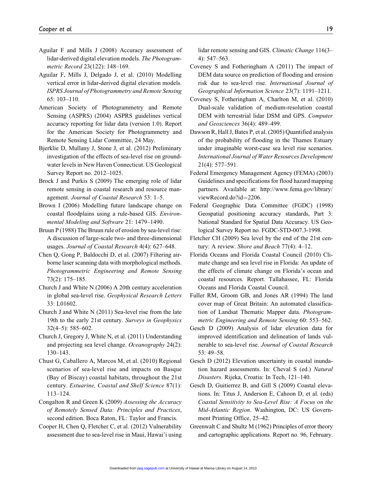- Aguilar F and Mills J (2008) Accuracy assessment of lidar-derived digital elevation models. The Photogrammetric Record 23(122): 148–169.
- Aguilar F, Mills J, Delgado J, et al. (2010) Modelling vertical error in lidar-derived digital elevation models. ISPRS Journal of Photogrammetry and Remote Sensing 65: 103–110.
- American Society of Photogrammetry and Remote Sensing (ASPRS) (2004) ASPRS guidelines vertical accuracy reporting for lidar data (version 1.0). Report for the American Society for Photogrammetry and Remote Sensing Lidar Committee, 24 May.
- Bjerklie D, Mullany J, Stone J, et al. (2012) Preliminary investigation of the effects of sea-level rise on groundwater levels in New Haven Connecticut. US Geological Survey Report no. 2012–1025.
- Brock J and Purkis S (2009) The emerging role of lidar remote sensing in coastal research and resource management. Journal of Coastal Research 53: 1–5.
- Brown I (2006) Modelling future landscape change on coastal floodplains using a rule-based GIS. Environmental Modeling and Software 21: 1479–1490.
- Bruun P (1988) The Bruun rule of erosion by sea-level rise: A discussion of large-scale two- and three-dimensional usages. Journal of Coastal Research 4(4): 627–648.
- Chen Q, Gong P, Baldocchi D, et al. (2007) Filtering airborne laser scanning data with morphological methods. Photogrammetric Engineering and Remote Sensing 73(2): 175–185.
- Church J and White N (2006) A 20th century acceleration in global sea-level rise. Geophysical Research Letters 33: L01602.
- Church J and White N (2011) Sea-level rise from the late 19th to the early 21st century. Surveys in Geophysics 32(4–5): 585–602.
- Church J, Gregory J, White N, et al. (2011) Understanding and projecting sea level change. Oceanography 24(2): 130–143.
- Chust G, Caballero A, Marcos M, et al. (2010) Regional scenarios of sea-level rise and impacts on Basque (Bay of Biscay) coastal habitats, throughout the 21st century. Estuarine, Coastal and Shelf Science 87(1): 113–124.
- Congalton R and Green K (2009) Assessing the Accuracy of Remotely Sensed Data: Principles and Practices, second edition. Boca Raton, FL: Taylor and Francis.
- Cooper H, Chen Q, Fletcher C, et al. (2012) Vulnerability assessment due to sea-level rise in Maui, Hawai'i using

lidar remote sensing and GIS. Climatic Change 116(3– 4): 547–563.

- Coveney S and Fotheringham A (2011) The impact of DEM data source on prediction of flooding and erosion risk due to sea-level rise. International Journal of Geographical Information Science 23(7): 1191–1211.
- Coveney S, Fotheringham A, Charlton M, et al. (2010) Dual-scale validation of medium-resolution coastal DEM with terrestrial lidar DSM and GPS. Computer and Geosciences 36(4): 489–499.
- Dawson R, Hall J, Bates P, et al. (2005) Quantified analysis of the probability of flooding in the Thames Estuary under imaginable worst-case sea level rise scenarios. International Journal of Water Resources Development 21(4): 577–591.
- Federal Emergency Management Agency (FEMA) (2003) Guidelines and specifications for flood hazard mapping partners. Available at: [http://www.fema.gov/library/](http://www.fema.gov/library/viewRecord.do?id=2206) [viewRecord.do?id](http://www.fema.gov/library/viewRecord.do?id=2206)=[2206.](http://www.fema.gov/library/viewRecord.do?id=2206)
- Federal Geographic Data Committee (FGDC) (1998) Geospatial positioning accuracy standards, Part 3: National Standard for Spatial Data Accuracy. US Geological Survey Report no. FGDC-STD-007.3-1998.
- Fletcher CH (2009) Sea level by the end of the 21st century: A review. Shore and Beach 77(4): 4–12.
- Florida Oceans and Florida Coastal Council (2010) Climate change and sea level rise in Florida: An update of the effects of climate change on Florida's ocean and coastal resources. Report. Tallahassee, FL: Florida Oceans and Florida Coastal Council.
- Fuller RM, Groom GB, and Jones AR (1994) The land cover map of Great Britain: An automated classification of Landsat Thematic Mapper data. Photogrammetric Engineering and Remote Sensing 60: 553–562.
- Gesch D (2009) Analysis of lidar elevation data for improved identification and delineation of lands vulnerable to sea-level rise. Journal of Coastal Research 53: 49–58.
- Gesch D (2012) Elevation uncertainty in coastal inundation hazard assessments. In: Cheval S (ed.) Natural Disasters. Rijeka, Croatia: In Tech, 121–140.
- Gesch D, Guitierrez B, and Gill S (2009) Coastal elevations. In: Titus J, Anderson E, Cahoon D, et al. (eds) Coastal Sensitivity to Sea-Level Rise: A Focus on the Mid-Atlantic Region. Washington, DC: US Government Printing Office, 25–42.
- Greenwalt C and Shultz M (1962) Principles of error theory and cartographic applications. Report no. 96, February.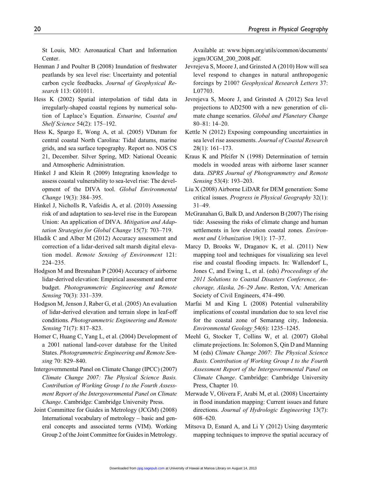St Louis, MO: Aeronautical Chart and Information Center.

- Henman J and Poulter B (2008) Inundation of freshwater peatlands by sea level rise: Uncertainty and potential carbon cycle feedbacks. Journal of Geophysical Research 113: G01011.
- Hess K (2002) Spatial interpolation of tidal data in irregularly-shaped coastal regions by numerical solution of Laplace's Equation. Estuarine, Coastal and Shelf Science 54(2): 175–192.
- Hess K, Spargo E, Wong A, et al. (2005) VDatum for central coastal North Carolina: Tidal datums, marine grids, and sea surface topography. Report no. NOS CS 21, December. Silver Spring, MD: National Oceanic and Atmospheric Administration.
- Hinkel J and Klein R (2009) Integrating knowledge to assess coastal vulnerability to sea-level rise: The development of the DIVA tool. Global Environmental Change 19(3): 384–395.
- Hinkel J, Nicholls R, Vafeidis A, et al. (2010) Assessing risk of and adaptation to sea-level rise in the European Union: An application of DIVA. Mitigation and Adaptation Strategies for Global Change 15(7): 703–719.
- Hladik C and Alber M (2012) Accuracy assessment and correction of a lidar-derived salt marsh digital elevation model. Remote Sensing of Environment 121: 224–235.
- Hodgson M and Bresnahan P (2004) Accuracy of airborne lidar-derived elevation: Empirical assessment and error budget. Photogrammetric Engineering and Remote Sensing 70(3): 331–339.
- Hodgson M, Jenson J, Raber G, et al. (2005) An evaluation of lidar-derived elevation and terrain slope in leaf-off conditions. Photogrammetric Engineering and Remote Sensing 71(7): 817–823.
- Homer C, Huang C, Yang L, et al. (2004) Development of a 2001 national land-cover database for the United States. Photogrammetric Engineering and Remote Sensing 70: 829–840.
- Intergovernmental Panel on Climate Change (IPCC) (2007) Climate Change 2007: The Physical Science Basis. Contribution of Working Group I to the Fourth Assessment Report of the Intergovernmental Panel on Climate Change. Cambridge: Cambridge University Press.
- Joint Committee for Guides in Metrology (JCGM) (2008) International vocabulary of metrology – basic and general concepts and associated terms (VIM). Working Group 2 of the Joint Committee for Guides in Metrology.

Available at: [www.bipm.org/utils/common/documents/](www.bipm.org/utils/common/documents/jcgm/JCGM_200_2008.pdf) [jcgm/JCGM\\_200\\_2008.pdf](www.bipm.org/utils/common/documents/jcgm/JCGM_200_2008.pdf).

- Jevrejeva S, Moore J, and Grinsted A (2010) How will sea level respond to changes in natural anthropogenic forcings by 2100? Geophysical Research Letters 37: L07703.
- Jevrejeva S, Moore J, and Grinsted A (2012) Sea level projections to AD2500 with a new generation of climate change scenarios. Global and Planetary Change 80–81: 14–20.
- Kettle N (2012) Exposing compounding uncertainties in sea level rise assessments. Journal of Coastal Research 28(1): 161–173.
- Kraus K and Pfeifer N (1998) Determination of terrain models in wooded areas with airborne laser scanner data. ISPRS Journal of Photogrammetry and Remote Sensing 53(4): 193–203.
- Liu X (2008) Airborne LiDAR for DEM generation: Some critical issues. Progress in Physical Geography 32(1): 31–49.
- McGranahan G, Balk D, and Anderson B (2007) The rising tide: Assessing the risks of climate change and human settlements in low elevation coastal zones. Environment and Urbanization 19(1): 17-37.
- Marcy D, Brooks W, Draganov K, et al. (2011) New mapping tool and techniques for visualizing sea level rise and coastal flooding impacts. In: Wallendorf L, Jones C, and Ewing L, et al. (eds) Proceedings of the 2011 Solutions to Coastal Disasters Conference, Anchorage, Alaska, 26–29 June. Reston, VA: American Society of Civil Engineers, 474–490.
- Marfai M and King L (2008) Potential vulnerability implications of coastal inundation due to sea level rise for the coastal zone of Semarang city, Indonesia. Environmental Geology 54(6): 1235–1245.
- Meehl G, Stocker T, Collins W, et al. (2007) Global climate projections. In: Solomon S, Qin D and Manning M (eds) Climate Change 2007: The Physical Science Basis. Contribution of Working Group I to the Fourth Assessment Report of the Intergovernmental Panel on Climate Change. Cambridge: Cambridge University Press, Chapter 10.
- Merwade V, Olivera F, Arabi M, et al. (2008) Uncertainty in flood inundation mapping: Current issues and future directions. Journal of Hydrologic Engineering 13(7): 608–620.
- Mitsova D, Esnard A, and Li Y (2012) Using dasymteric mapping techniques to improve the spatial accuracy of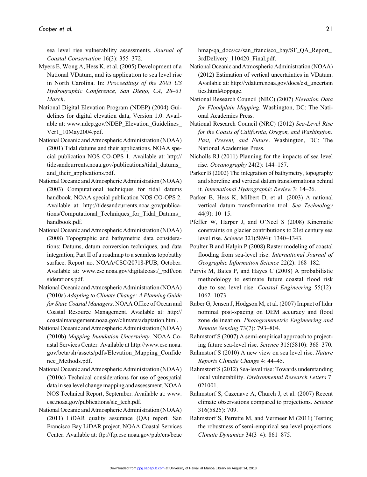sea level rise vulnerability assessments. Journal of Coastal Conservation 16(3): 355–372.

- Myers E, Wong A, Hess K, et al. (2005) Development of a National VDatum, and its application to sea level rise in North Carolina. In: Proceedings of the 2005 US Hydrographic Conference, San Diego, CA, 28–31 March.
- National Digital Elevation Program (NDEP) (2004) Guidelines for digital elevation data, Version 1.0. Available at: [www.ndep.gov/NDEP\\_Elevation\\_Guidelines\\_](www.ndep.gov/NDEP_Elevation_Guidelines_Ver1_10May2004.pdf) [Ver1\\_10May2004.pdf.](www.ndep.gov/NDEP_Elevation_Guidelines_Ver1_10May2004.pdf)
- National Oceanic and Atmospheric Administration (NOAA) (2001) Tidal datums and their applications. NOAA special publication NOS CO-OPS 1. Available at: [http://](http://tidesandcurrents.noaa.gov/publications/tidal_datums_and_their_applications.pdf) [tidesandcurrents.noaa.gov/publications/tidal\\_datums\\_](http://tidesandcurrents.noaa.gov/publications/tidal_datums_and_their_applications.pdf) [and\\_their\\_applications.pdf.](http://tidesandcurrents.noaa.gov/publications/tidal_datums_and_their_applications.pdf)
- National Oceanic and Atmospheric Administration (NOAA) (2003) Computational techniques for tidal datums handbook. NOAA special publication NOS CO-OPS 2. Available at: [http://tidesandcurrents.noaa.gov/publica](http://tidesandcurrents.noaa.gov/publications/Computational_Techniques_for_Tidal_Datums_handbook.pdf)[tions/Computational\\_Techniques\\_for\\_Tidal\\_Datums\\_](http://tidesandcurrents.noaa.gov/publications/Computational_Techniques_for_Tidal_Datums_handbook.pdf) [handbook.pdf](http://tidesandcurrents.noaa.gov/publications/Computational_Techniques_for_Tidal_Datums_handbook.pdf).
- National Oceanic and Atmospheric Administration (NOAA) (2008) Topographic and bathymetric data considerations: Datums, datum conversion techniques, and data integration; Part II of a roadmap to a seamless topobathy surface. Report no. NOAA/CSC/20718-PUB, October. Available at: [www.csc.noaa.gov/digitalcoast/\\_/pdf/con](www.csc.noaa.gov/digitalcoast/_/pdf/considerations.pdf) [siderations.pdf](www.csc.noaa.gov/digitalcoast/_/pdf/considerations.pdf).
- National Oceanic and Atmospheric Administration (NOAA) (2010a) Adapting to Climate Change: A Planning Guide for State Coastal Managers. NOAA Office of Ocean and Coastal Resource Management. Available at: [http://](http://coastalmanagement.noaa.gov/climate/adaptation.html) [coastalmanagement.noaa.gov/climate/adaptation.html](http://coastalmanagement.noaa.gov/climate/adaptation.html).
- National Oceanic and Atmospheric Administration (NOAA) (2010b) Mapping Inundation Uncertainty. NOAA Coastal Services Center. Available at [http://www.csc.noaa.](http://www.csc.noaa.gov/beta/slr/assets/pdfs/Elevation_Mapping_Confidence_Methods.pdf) [gov/beta/slr/assets/pdfs/Elevation\\_Mapping\\_Confide](http://www.csc.noaa.gov/beta/slr/assets/pdfs/Elevation_Mapping_Confidence_Methods.pdf) [nce\\_Methods.pdf.](http://www.csc.noaa.gov/beta/slr/assets/pdfs/Elevation_Mapping_Confidence_Methods.pdf)
- National Oceanic and Atmospheric Administration (NOAA) (2010c) Technical considerations for use of geospatial data in sea level change mapping and assessment. NOAA NOS Technical Report, September. Available at: [www.](www.csc.noaa.gov/publications/slc_tech.pdf) [csc.noaa.gov/publications/slc\\_tech.pdf](www.csc.noaa.gov/publications/slc_tech.pdf).
- National Oceanic and Atmospheric Administration (NOAA) (2011) LiDAR quality assurance (QA) report. San Francisco Bay LiDAR project. NOAA Coastal Services Center. Available at: [ftp://ftp.csc.noaa.gov/pub/crs/beac](ftp://ftp.csc.noaa.gov/pub/crs/beachmap/qa_docs/ca/san_francisco_bay/SF_QA_Report_3rdDelivery_110420_Final.pdf)

[hmap/qa\\_docs/ca/san\\_francisco\\_bay/SF\\_QA\\_Report\\_](ftp://ftp.csc.noaa.gov/pub/crs/beachmap/qa_docs/ca/san_francisco_bay/SF_QA_Report_3rdDelivery_110420_Final.pdf) [3rdDelivery\\_110420\\_Final.pdf](ftp://ftp.csc.noaa.gov/pub/crs/beachmap/qa_docs/ca/san_francisco_bay/SF_QA_Report_3rdDelivery_110420_Final.pdf).

- National Oceanic and Atmospheric Administration (NOAA) (2012) Estimation of vertical uncertainties in VDatum. Available at: [http://vdatum.noaa.gov/docs/est\\_uncertain](http://vdatum.noaa.gov/docs/est_uncertainties.html#toppage) [ties.html#toppage](http://vdatum.noaa.gov/docs/est_uncertainties.html#toppage).
- National Research Council (NRC) (2007) Elevation Data for Floodplain Mapping. Washington, DC: The National Academies Press.
- National Research Council (NRC) (2012) Sea-Level Rise for the Coasts of California, Oregon, and Washington: Past, Present, and Future. Washington, DC: The National Academies Press.
- Nicholls RJ (2011) Planning for the impacts of sea level rise. Oceanography 24(2): 144–157.
- Parker B (2002) The integration of bathymetry, topography and shoreline and vertical datum transformations behind it. International Hydrographic Review 3: 14–26.
- Parker B, Hess K, Milbert D, et al. (2003) A national vertical datum transformation tool. Sea Technology 44(9): 10–15.
- Pfeffer W, Harper J, and O'Neel S (2008) Kinematic constraints on glacier contributions to 21st century sea level rise. Science 321(5894): 1340–1343.
- Poulter B and Halpin P (2008) Raster modeling of coastal flooding from sea-level rise. International Journal of Geographic Information Science 22(2): 168–182.
- Purvis M, Bates P, and Hayes C (2008) A probabilistic methodology to estimate future coastal flood risk due to sea level rise. Coastal Engineering 55(12): 1062–1073.
- Raber G, Jensen J, Hodgson M, et al. (2007) Impact of lidar nominal post-spacing on DEM accuracy and flood zone delineation. Photogrammetric Engineering and Remote Sensing 73(7): 793–804.
- Rahmstorf S (2007) A semi-empirical approach to projecting future sea-level rise. Science 315(5810): 368–370.
- Rahmstorf S (2010) A new view on sea level rise. Nature Reports Climate Change 4: 44–45.
- Rahmstorf S (2012) Sea-level rise: Towards understanding local vulnerability. Environmental Research Letters 7: 021001.
- Rahmstorf S, Cazenave A, Church J, et al. (2007) Recent climate observations compared to projections. Science 316(5825): 709.
- Rahmstorf S, Perrette M, and Vermeer M (2011) Testing the robustness of semi-empirical sea level projections. Climate Dynamics 34(3–4): 861–875.